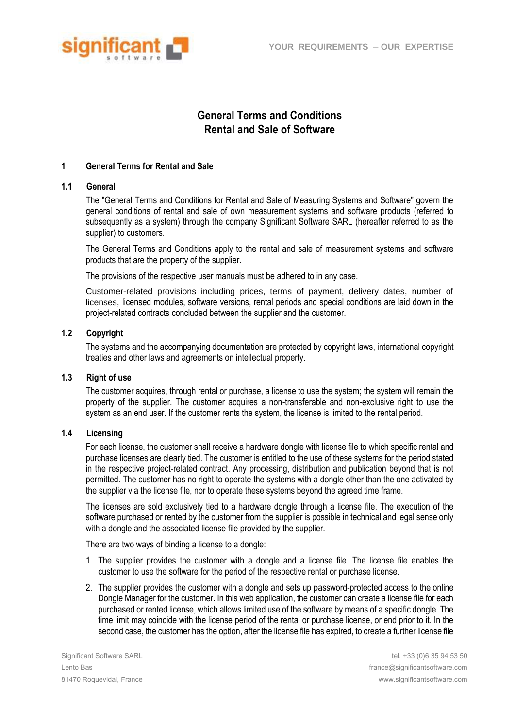

# **General Terms and Conditions Rental and Sale of Software**

# **1 General Terms for Rental and Sale**

# **1.1 General**

The "General Terms and Conditions for Rental and Sale of Measuring Systems and Software" govern the general conditions of rental and sale of own measurement systems and software products (referred to subsequently as a system) through the company Significant Software SARL (hereafter referred to as the supplier) to customers.

The General Terms and Conditions apply to the rental and sale of measurement systems and software products that are the property of the supplier.

The provisions of the respective user manuals must be adhered to in any case.

Customer-related provisions including prices, terms of payment, delivery dates, number of licenses, licensed modules, software versions, rental periods and special conditions are laid down in the project-related contracts concluded between the supplier and the customer.

# **1.2 Copyright**

The systems and the accompanying documentation are protected by copyright laws, international copyright treaties and other laws and agreements on intellectual property.

# **1.3 Right of use**

The customer acquires, through rental or purchase, a license to use the system; the system will remain the property of the supplier. The customer acquires a non-transferable and non-exclusive right to use the system as an end user. If the customer rents the system, the license is limited to the rental period.

# **1.4 Licensing**

For each license, the customer shall receive a hardware dongle with license file to which specific rental and purchase licenses are clearly tied. The customer is entitled to the use of these systems for the period stated in the respective project-related contract. Any processing, distribution and publication beyond that is not permitted. The customer has no right to operate the systems with a dongle other than the one activated by the supplier via the license file, nor to operate these systems beyond the agreed time frame.

The licenses are sold exclusively tied to a hardware dongle through a license file. The execution of the software purchased or rented by the customer from the supplier is possible in technical and legal sense only with a dongle and the associated license file provided by the supplier.

There are two ways of binding a license to a dongle:

- 1. The supplier provides the customer with a dongle and a license file. The license file enables the customer to use the software for the period of the respective rental or purchase license.
- 2. The supplier provides the customer with a dongle and sets up password-protected access to the online Dongle Manager for the customer. In this web application, the customer can create a license file for each purchased or rented license, which allows limited use of the software by means of a specific dongle. The time limit may coincide with the license period of the rental or purchase license, or end prior to it. In the second case, the customer has the option, after the license file has expired, to create a further license file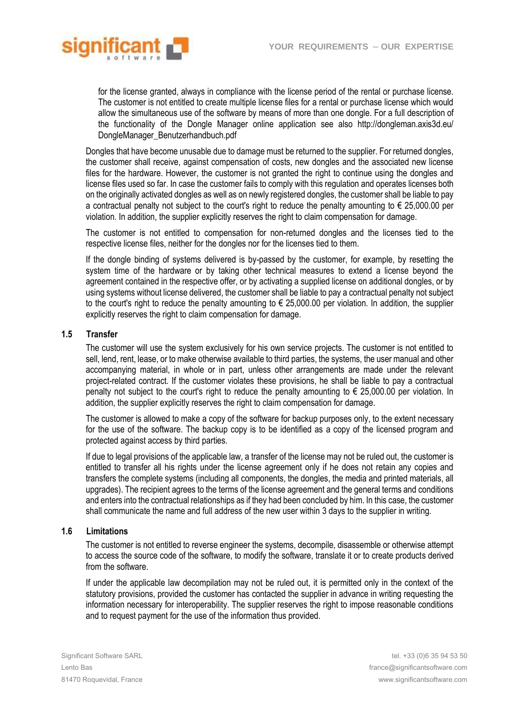

for the license granted, always in compliance with the license period of the rental or purchase license. The customer is not entitled to create multiple license files for a rental or purchase license which would allow the simultaneous use of the software by means of more than one dongle. For a full description of the functionality of the Dongle Manager online application see also http://dongleman.axis3d.eu/ DongleManager\_Benutzerhandbuch.pdf

Dongles that have become unusable due to damage must be returned to the supplier. For returned dongles, the customer shall receive, against compensation of costs, new dongles and the associated new license files for the hardware. However, the customer is not granted the right to continue using the dongles and license files used so far. In case the customer fails to comply with this regulation and operates licenses both on the originally activated dongles as well as on newly registered dongles, the customer shall be liable to pay a contractual penalty not subject to the court's right to reduce the penalty amounting to  $\epsilon$  25,000.00 per violation. In addition, the supplier explicitly reserves the right to claim compensation for damage.

The customer is not entitled to compensation for non-returned dongles and the licenses tied to the respective license files, neither for the dongles nor for the licenses tied to them.

If the dongle binding of systems delivered is by-passed by the customer, for example, by resetting the system time of the hardware or by taking other technical measures to extend a license beyond the agreement contained in the respective offer, or by activating a supplied license on additional dongles, or by using systems without license delivered, the customer shall be liable to pay a contractual penalty not subject to the court's right to reduce the penalty amounting to  $\epsilon$  25,000.00 per violation. In addition, the supplier explicitly reserves the right to claim compensation for damage.

# **1.5 Transfer**

The customer will use the system exclusively for his own service projects. The customer is not entitled to sell, lend, rent, lease, or to make otherwise available to third parties, the systems, the user manual and other accompanying material, in whole or in part, unless other arrangements are made under the relevant project-related contract. If the customer violates these provisions, he shall be liable to pay a contractual penalty not subject to the court's right to reduce the penalty amounting to € 25,000.00 per violation. In addition, the supplier explicitly reserves the right to claim compensation for damage.

The customer is allowed to make a copy of the software for backup purposes only, to the extent necessary for the use of the software. The backup copy is to be identified as a copy of the licensed program and protected against access by third parties.

If due to legal provisions of the applicable law, a transfer of the license may not be ruled out, the customer is entitled to transfer all his rights under the license agreement only if he does not retain any copies and transfers the complete systems (including all components, the dongles, the media and printed materials, all upgrades). The recipient agrees to the terms of the license agreement and the general terms and conditions and enters into the contractual relationships as if they had been concluded by him. In this case, the customer shall communicate the name and full address of the new user within 3 days to the supplier in writing.

# **1.6 Limitations**

The customer is not entitled to reverse engineer the systems, decompile, disassemble or otherwise attempt to access the source code of the software, to modify the software, translate it or to create products derived from the software.

If under the applicable law decompilation may not be ruled out, it is permitted only in the context of the statutory provisions, provided the customer has contacted the supplier in advance in writing requesting the information necessary for interoperability. The supplier reserves the right to impose reasonable conditions and to request payment for the use of the information thus provided.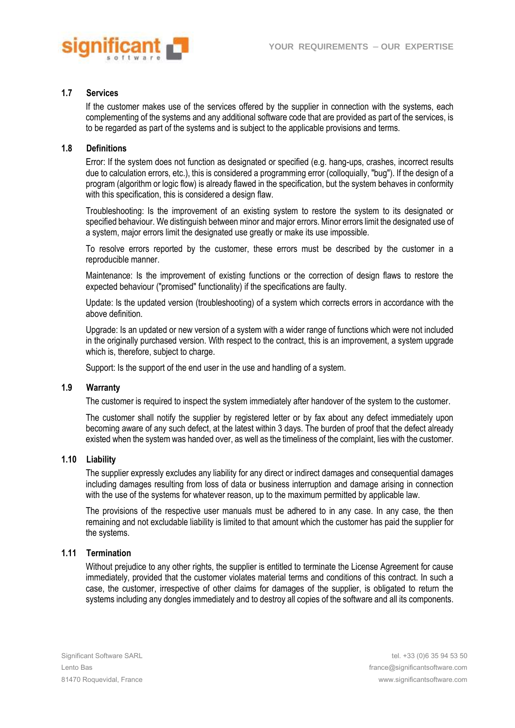

## **1.7 Services**

If the customer makes use of the services offered by the supplier in connection with the systems, each complementing of the systems and any additional software code that are provided as part of the services, is to be regarded as part of the systems and is subject to the applicable provisions and terms.

### **1.8 Definitions**

Error: If the system does not function as designated or specified (e.g. hang-ups, crashes, incorrect results due to calculation errors, etc.), this is considered a programming error (colloquially, "bug"). If the design of a program (algorithm or logic flow) is already flawed in the specification, but the system behaves in conformity with this specification, this is considered a design flaw.

Troubleshooting: Is the improvement of an existing system to restore the system to its designated or specified behaviour. We distinguish between minor and major errors. Minor errors limit the designated use of a system, major errors limit the designated use greatly or make its use impossible.

To resolve errors reported by the customer, these errors must be described by the customer in a reproducible manner.

Maintenance: Is the improvement of existing functions or the correction of design flaws to restore the expected behaviour ("promised" functionality) if the specifications are faulty.

Update: Is the updated version (troubleshooting) of a system which corrects errors in accordance with the above definition.

Upgrade: Is an updated or new version of a system with a wider range of functions which were not included in the originally purchased version. With respect to the contract, this is an improvement, a system upgrade which is, therefore, subject to charge.

Support: Is the support of the end user in the use and handling of a system.

# **1.9 Warranty**

The customer is required to inspect the system immediately after handover of the system to the customer.

The customer shall notify the supplier by registered letter or by fax about any defect immediately upon becoming aware of any such defect, at the latest within 3 days. The burden of proof that the defect already existed when the system was handed over, as well as the timeliness of the complaint, lies with the customer.

#### **1.10 Liability**

The supplier expressly excludes any liability for any direct or indirect damages and consequential damages including damages resulting from loss of data or business interruption and damage arising in connection with the use of the systems for whatever reason, up to the maximum permitted by applicable law.

The provisions of the respective user manuals must be adhered to in any case. In any case, the then remaining and not excludable liability is limited to that amount which the customer has paid the supplier for the systems.

# **1.11 Termination**

Without prejudice to any other rights, the supplier is entitled to terminate the License Agreement for cause immediately, provided that the customer violates material terms and conditions of this contract. In such a case, the customer, irrespective of other claims for damages of the supplier, is obligated to return the systems including any dongles immediately and to destroy all copies of the software and all its components.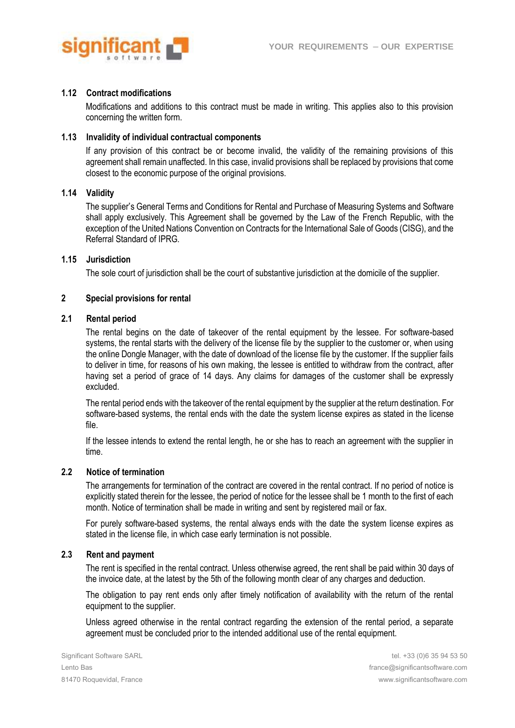

### **1.12 Contract modifications**

Modifications and additions to this contract must be made in writing. This applies also to this provision concerning the written form.

#### **1.13 Invalidity of individual contractual components**

If any provision of this contract be or become invalid, the validity of the remaining provisions of this agreement shall remain unaffected. In this case, invalid provisions shall be replaced by provisions that come closest to the economic purpose of the original provisions.

## **1.14 Validity**

The supplier's General Terms and Conditions for Rental and Purchase of Measuring Systems and Software shall apply exclusively. This Agreement shall be governed by the Law of the French Republic, with the exception of the United Nations Convention on Contracts for the International Sale of Goods (CISG), and the Referral Standard of IPRG.

#### **1.15 Jurisdiction**

The sole court of jurisdiction shall be the court of substantive jurisdiction at the domicile of the supplier.

#### **2 Special provisions for rental**

# **2.1 Rental period**

The rental begins on the date of takeover of the rental equipment by the lessee. For software-based systems, the rental starts with the delivery of the license file by the supplier to the customer or, when using the online Dongle Manager, with the date of download of the license file by the customer. If the supplier fails to deliver in time, for reasons of his own making, the lessee is entitled to withdraw from the contract, after having set a period of grace of 14 days. Any claims for damages of the customer shall be expressly excluded.

The rental period ends with the takeover of the rental equipment by the supplier at the return destination. For software-based systems, the rental ends with the date the system license expires as stated in the license file.

If the lessee intends to extend the rental length, he or she has to reach an agreement with the supplier in time.

#### **2.2 Notice of termination**

The arrangements for termination of the contract are covered in the rental contract. If no period of notice is explicitly stated therein for the lessee, the period of notice for the lessee shall be 1 month to the first of each month. Notice of termination shall be made in writing and sent by registered mail or fax.

For purely software-based systems, the rental always ends with the date the system license expires as stated in the license file, in which case early termination is not possible.

#### **2.3 Rent and payment**

The rent is specified in the rental contract. Unless otherwise agreed, the rent shall be paid within 30 days of the invoice date, at the latest by the 5th of the following month clear of any charges and deduction.

The obligation to pay rent ends only after timely notification of availability with the return of the rental equipment to the supplier.

Unless agreed otherwise in the rental contract regarding the extension of the rental period, a separate agreement must be concluded prior to the intended additional use of the rental equipment.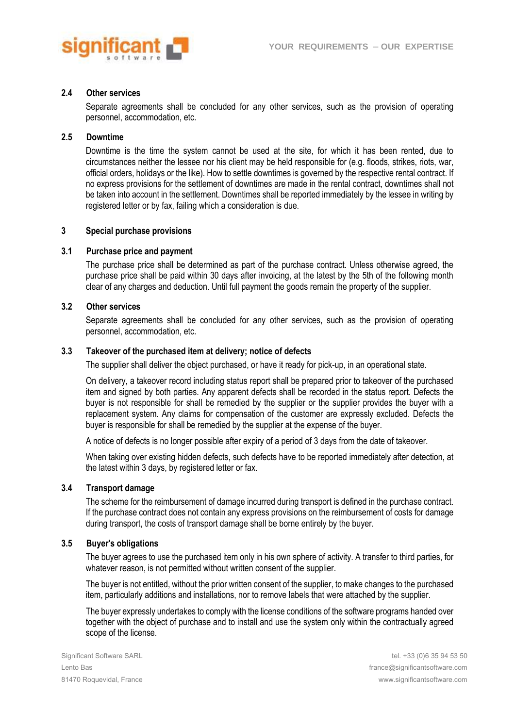

### **2.4 Other services**

Separate agreements shall be concluded for any other services, such as the provision of operating personnel, accommodation, etc.

# **2.5 Downtime**

Downtime is the time the system cannot be used at the site, for which it has been rented, due to circumstances neither the lessee nor his client may be held responsible for (e.g. floods, strikes, riots, war, official orders, holidays or the like). How to settle downtimes is governed by the respective rental contract. If no express provisions for the settlement of downtimes are made in the rental contract, downtimes shall not be taken into account in the settlement. Downtimes shall be reported immediately by the lessee in writing by registered letter or by fax, failing which a consideration is due.

# **3 Special purchase provisions**

# **3.1 Purchase price and payment**

The purchase price shall be determined as part of the purchase contract. Unless otherwise agreed, the purchase price shall be paid within 30 days after invoicing, at the latest by the 5th of the following month clear of any charges and deduction. Until full payment the goods remain the property of the supplier.

### **3.2 Other services**

Separate agreements shall be concluded for any other services, such as the provision of operating personnel, accommodation, etc.

### **3.3 Takeover of the purchased item at delivery; notice of defects**

The supplier shall deliver the object purchased, or have it ready for pick-up, in an operational state.

On delivery, a takeover record including status report shall be prepared prior to takeover of the purchased item and signed by both parties. Any apparent defects shall be recorded in the status report. Defects the buyer is not responsible for shall be remedied by the supplier or the supplier provides the buyer with a replacement system. Any claims for compensation of the customer are expressly excluded. Defects the buyer is responsible for shall be remedied by the supplier at the expense of the buyer.

A notice of defects is no longer possible after expiry of a period of 3 days from the date of takeover.

When taking over existing hidden defects, such defects have to be reported immediately after detection, at the latest within 3 days, by registered letter or fax.

## **3.4 Transport damage**

The scheme for the reimbursement of damage incurred during transport is defined in the purchase contract. If the purchase contract does not contain any express provisions on the reimbursement of costs for damage during transport, the costs of transport damage shall be borne entirely by the buyer.

### **3.5 Buyer's obligations**

The buyer agrees to use the purchased item only in his own sphere of activity. A transfer to third parties, for whatever reason, is not permitted without written consent of the supplier.

The buyer is not entitled, without the prior written consent of the supplier, to make changes to the purchased item, particularly additions and installations, nor to remove labels that were attached by the supplier.

The buyer expressly undertakes to comply with the license conditions of the software programs handed over together with the object of purchase and to install and use the system only within the contractually agreed scope of the license.